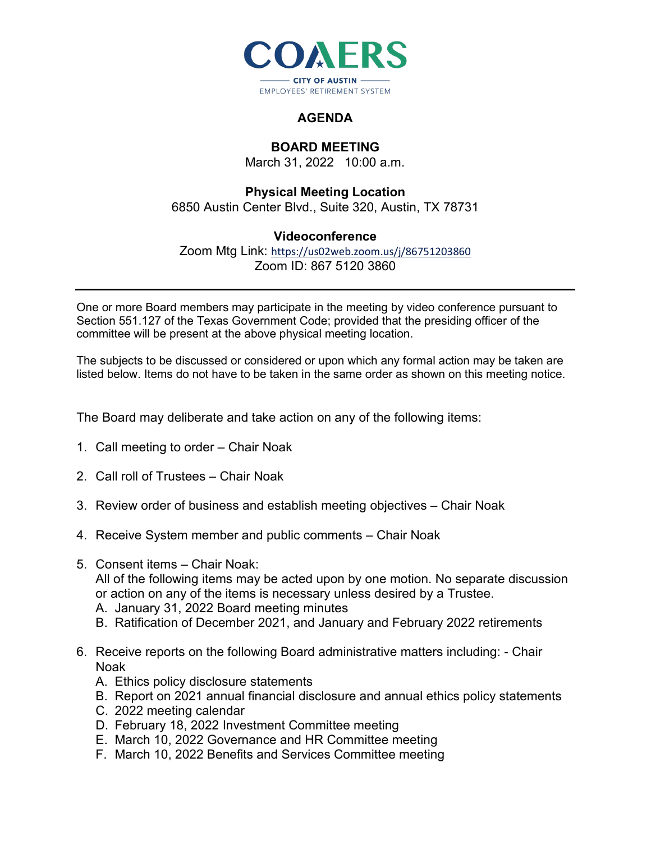

## **AGENDA**

## **BOARD MEETING**

March 31, 2022 10:00 a.m.

## **Physical Meeting Location** 6850 Austin Center Blvd., Suite 320, Austin, TX 78731

## **Videoconference**

Zoom Mtg Link: <https://us02web.zoom.us/j/86751203860> Zoom ID: 867 5120 3860

One or more Board members may participate in the meeting by video conference pursuant to Section 551.127 of the Texas Government Code; provided that the presiding officer of the committee will be present at the above physical meeting location.

The subjects to be discussed or considered or upon which any formal action may be taken are listed below. Items do not have to be taken in the same order as shown on this meeting notice.

The Board may deliberate and take action on any of the following items:

- 1. Call meeting to order Chair Noak
- 2. Call roll of Trustees Chair Noak
- 3. Review order of business and establish meeting objectives Chair Noak
- 4. Receive System member and public comments Chair Noak
- 5. Consent items Chair Noak: All of the following items may be acted upon by one motion. No separate discussion or action on any of the items is necessary unless desired by a Trustee. A. January 31, 2022 Board meeting minutes
	- B. Ratification of December 2021, and January and February 2022 retirements
- 6. Receive reports on the following Board administrative matters including: Chair Noak
	- A. Ethics policy disclosure statements
	- B. Report on 2021 annual financial disclosure and annual ethics policy statements
	- C. 2022 meeting calendar
	- D. February 18, 2022 Investment Committee meeting
	- E. March 10, 2022 Governance and HR Committee meeting
	- F. March 10, 2022 Benefits and Services Committee meeting